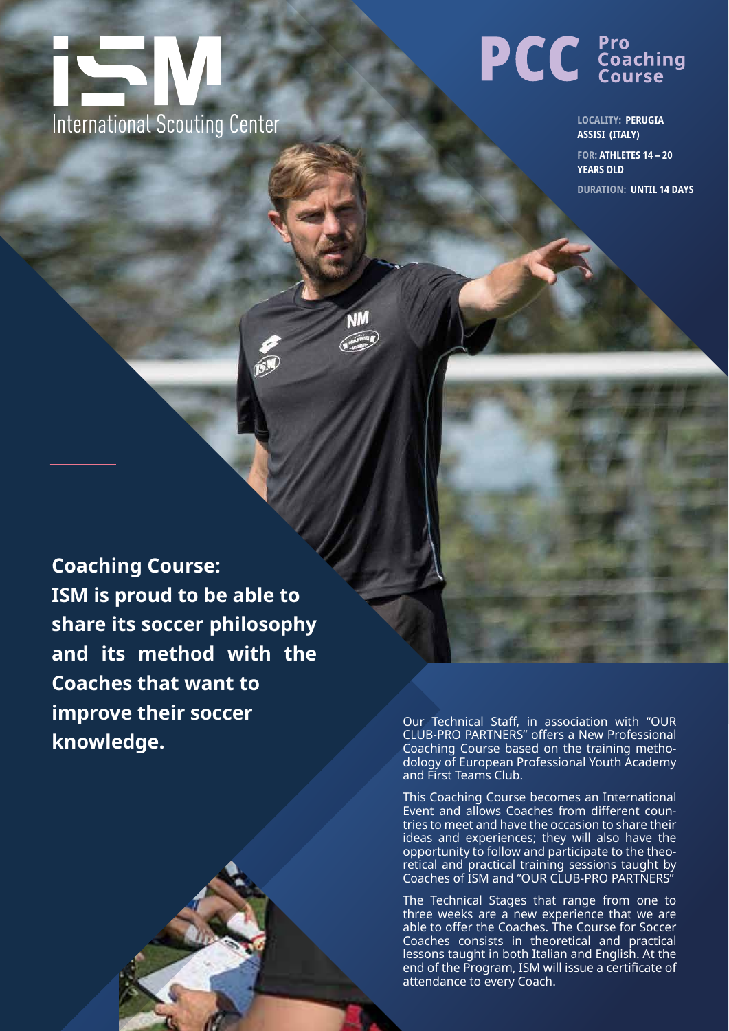

## **PCC** Coaching

**LOCALITY: PERUGIA ASSISI (ITALY)**

**FOR: ATHLETES 14 – 20 YEARS OLD DURATION: UNTIL 14 DAYS**

**Coaching Course: ISM is proud to be able to share its soccer philosophy and its method with the Coaches that want to improve their soccer knowledge.**

Our Technical Staff, in association with "OUR CLUB-PRO PARTNERS" offers a New Professional Coaching Course based on the training methodology of European Professional Youth Academy and First Teams Club.

This Coaching Course becomes an International Event and allows Coaches from different countries to meet and have the occasion to share their ideas and experiences; they will also have the opportunity to follow and participate to the theoretical and practical training sessions taught by Coaches of ISM and "OUR CLUB-PRO PARTNERS"

The Technical Stages that range from one to three weeks are a new experience that we are able to offer the Coaches. The Course for Soccer Coaches consists in theoretical and practical lessons taught in both Italian and English. At the end of the Program, ISM will issue a certificate of attendance to every Coach.